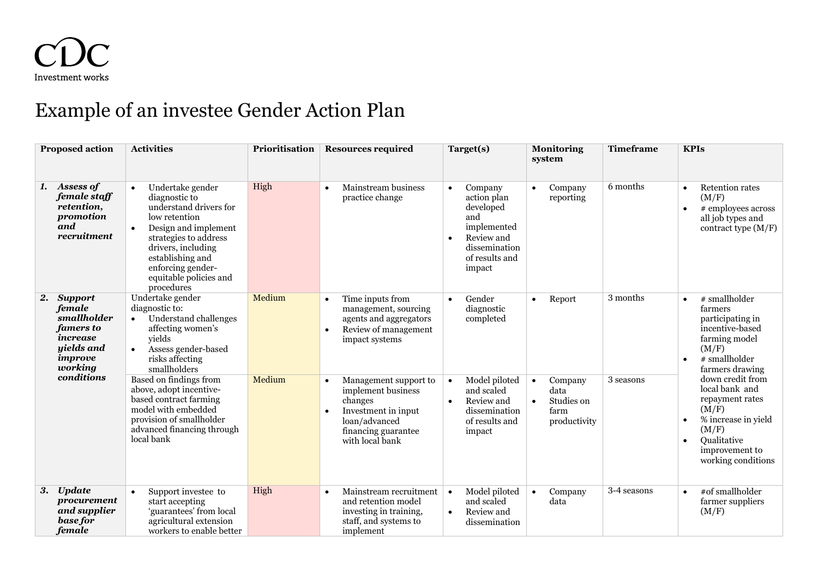

## Example of an investee Gender Action Plan

| <b>Proposed action</b>                                                                                         | <b>Activities</b>                                                                                                                                                                                                                    | Prioritisation | <b>Resources required</b>                                                                                                                | Target(s)                                                                                                                                      | <b>Monitoring</b><br>system                                                     | <b>Timeframe</b> | <b>KPIs</b>                                                                                                                                                                                                                                                                                                                   |
|----------------------------------------------------------------------------------------------------------------|--------------------------------------------------------------------------------------------------------------------------------------------------------------------------------------------------------------------------------------|----------------|------------------------------------------------------------------------------------------------------------------------------------------|------------------------------------------------------------------------------------------------------------------------------------------------|---------------------------------------------------------------------------------|------------------|-------------------------------------------------------------------------------------------------------------------------------------------------------------------------------------------------------------------------------------------------------------------------------------------------------------------------------|
| Assess of<br>1.<br>female staff<br>retention,<br>promotion<br>and<br>recruitment                               | Undertake gender<br>diagnostic to<br>understand drivers for<br>low retention<br>Design and implement<br>strategies to address<br>drivers, including<br>establishing and<br>enforcing gender-<br>equitable policies and<br>procedures | High           | Mainstream business<br>practice change                                                                                                   | Company<br>$\bullet$<br>action plan<br>developed<br>and<br>implemented<br>Review and<br>$\bullet$<br>dissemination<br>of results and<br>impact | Company<br>$\bullet$<br>reporting                                               | 6 months         | <b>Retention rates</b><br>(M/F)<br># employees across<br>all job types and<br>contract type $(M/F)$                                                                                                                                                                                                                           |
| 2. Support<br>female<br>smallholder<br>famers to<br>increase<br>uields and<br>improve<br>working<br>conditions | Undertake gender<br>diagnostic to:<br>Understand challenges<br>affecting women's<br>vields<br>Assess gender-based<br>risks affecting<br>smallholders                                                                                 | Medium         | Time inputs from<br>management, sourcing<br>agents and aggregators<br>Review of management<br>impact systems                             | Gender<br>$\bullet$<br>diagnostic<br>completed                                                                                                 | Report<br>$\bullet$                                                             | 3 months         | # smallholder<br>$\bullet$<br>farmers<br>participating in<br>incentive-based<br>farming model<br>(M/F)<br># smallholder<br>$\bullet$<br>farmers drawing<br>down credit from<br>local bank and<br>repayment rates<br>(M/F)<br>% increase in yield<br>(M/F)<br>Qualitative<br>$\bullet$<br>improvement to<br>working conditions |
|                                                                                                                | Based on findings from<br>above, adopt incentive-<br>based contract farming<br>model with embedded<br>provision of smallholder<br>advanced financing through<br>local bank                                                           | Medium         | Management support to<br>implement business<br>changes<br>Investment in input<br>loan/advanced<br>financing guarantee<br>with local bank | Model piloted<br>$\bullet$<br>and scaled<br>Review and<br>$\bullet$<br>dissemination<br>of results and<br>impact                               | Company<br>$\bullet$<br>data<br>Studies on<br>$\bullet$<br>farm<br>productivity | 3 seasons        |                                                                                                                                                                                                                                                                                                                               |
| <b>Update</b><br>3.<br>procurement<br>and supplier<br>base for<br>female                                       | Support investee to<br>start accepting<br>'guarantees' from local<br>agricultural extension<br>workers to enable better                                                                                                              | High           | Mainstream recruitment<br>and retention model<br>investing in training,<br>staff, and systems to<br>implement                            | Model piloted<br>$\bullet$<br>and scaled<br>Review and<br>$\bullet$<br>dissemination                                                           | Company<br>$\bullet$<br>data                                                    | 3-4 seasons      | #of smallholder<br>$\bullet$<br>farmer suppliers<br>(M/F)                                                                                                                                                                                                                                                                     |